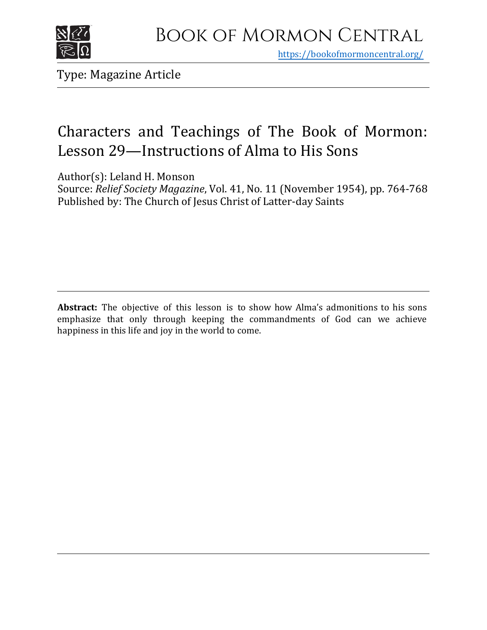

https[://bookofmormoncentral.org/](http://bookofmormoncentral.org/)

Type: Magazine Article

## Characters and Teachings of The Book of Mormon: Lesson 29—Instructions of Alma to His Sons

Author(s): Leland H. Monson

Source: *Relief Society Magazine*, Vol. 41, No. 11 (November 1954), pp. 764-768 Published by: The Church of Jesus Christ of Latter-day Saints

**Abstract:** The objective of this lesson is to show how Alma's admonitions to his sons emphasize that only through keeping the commandments of God can we achieve happiness in this life and joy in the world to come.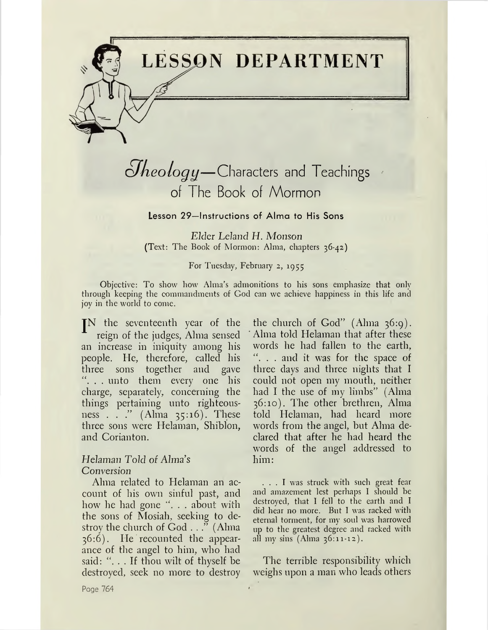

# *cJheology*—Characters and Teachings of The Book of Mormon

Lesson 29—Instructions of Alma to His Sons

*Elder Leland H. Monson* (Text: The Book of Mormon: Alma, chapters 36-42)

For Tuesday, February 2, 1955

Objective: To show how Alma's admonitions to his sons emphasize that only through keeping the commandments of God can we achieve happiness in this life and joy in the world to come.

JN the seventeenth year of the reign of the judges, Alma sensed an increase in iniquity among his people. He, therefore, called his three sons together and gave ". . . unto them every one his charge, separately, concerning the things pertaining unto righteousness . . ." (Alma 35:16). These three sons were Helaman, Shiblon, and Corianton.

#### *Helaman Told of Alma's Conversion*

Alma related to Helaman an account of his own sinful past, and how he had gone ". . . about with the sons of Mosiah, seeking to destroy the church of God . . ." (Alma 36:6). He recounted the appearance of the angel to him, who had said: "... If thou wilt of thyself be destroyed, seek no more to destroy

the church of God" (Alma 36:9). Alma told Helaman that after these words he had fallen to the earth, . . and it was for the space of three days and three nights that I could not open my mouth, neither had I the use of my limbs" (Alma 36:10). The other brethren, Alma told Helaman, had heard more words from the angel, but Alma declared that after he had heard the words of the angel addressed to him:

... <sup>I</sup> was struck with such great fear and amazement lest perhaps I should be destroyed, that I fell to the earth and I did hear no more. But I was racked with eternal torment, for my soul was harrowed up to the greatest degree and racked with all my sins (Alma 36:11-12).

The terrible responsibility which weighs upon a man who leads others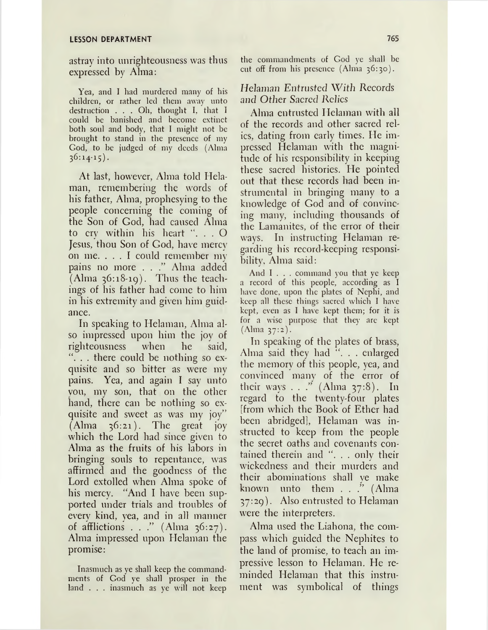#### **LESSON DEPARTMENT 765**

astray into unrighteousness was thus expressed by Alma:

Yea, and I had murdered many of his children, or rather led them away unto destruction . . . Oh, thought I. that <sup>I</sup> could be banished and become extinct both soul and body, that I might not be brought to stand in the presence of my God, to be judged of my deeds (Alma  $36:14-15$ .

At last, however, Alma told Helaman, remembering the words of his father, Alma, prophesying to the people concerning the coming of the Son of God, had caused Alma to cry within his heart ". . . O Jesus, thou Son of God, have mercy on me. ... <sup>I</sup> could remember my pains no more . . ." Alma added (Alma 36:18-19). Thus the teachings of his father had come to him in his extremity and given him guidance.

In speaking to Helaman, Alma also impressed upon him the joy of righteousness when he said, "... there could be nothing so exquisite and so bitter as were my pains. Yea, and again I say unto you, my son, that on the other hand, there can be nothing so exquisite and sweet as was my joy"  $(Alma \quad 36:21)$ . The great joy which the Lord had since given to Alma as the fruits of his labors in bringing souls to repentance, was affirmed and the goodness of the Lord extolled when Alma spoke of his mercy. "And I have been supported under trials and troubles of every kind, yea, and in all manner of afflictions . . ." (Alma  $36:27$ ). Alma impressed upon Helaman the promise:

Inasmuch as ye shall keep the commandments of God ye shall prosper in the land . . . inasmuch as ye will not keep the commandments of God ye shall be cut off from his presence (Alma 36:30).

## Helaman Entrusted With Records and Other Sacred *RcJics*

Alma entrusted Helaman with all of the records and other sacred relics, dating from early times. He impressed Helaman with the magnitude of his responsibility in keeping these sacred histories. He pointed out that these records had been instrumental in bringing many to a knowledge of God and of convincing many, including thousands of the Lamanites, of the error of their ways. In instructing Helaman regarding his record-keeping responsibility, Alma said:

And I . . . command you that ye keep a record of this people, according as I have done, upon the plates of Nephi, and keep all these things sacred which I have kept, even as I have kept them; for it is for a wise purpose that they arc kept (Alma 37:2).

In speaking of the plates of brass, Alma said they had ". . . enlarged the memory of this people, yea, and convinced many of the error of their ways . . ." (Alma 37:8). In regard to the twenty-four plates [from which the Book of Ether had been abridged], Helaman was instructed to keep from the people the secret oaths and covenants contained therein and ". . . only their wickedness and their murders and their abominations shall ye make known unto them . . ." (Alma 37:29). Also entrusted to Helaman were the interpreters.

Alma used the Liahona, the compass which guided the Nephites to the land of promise, to teach an impressive lesson to Helaman. He reminded Helaman that this instrument was symbolical of things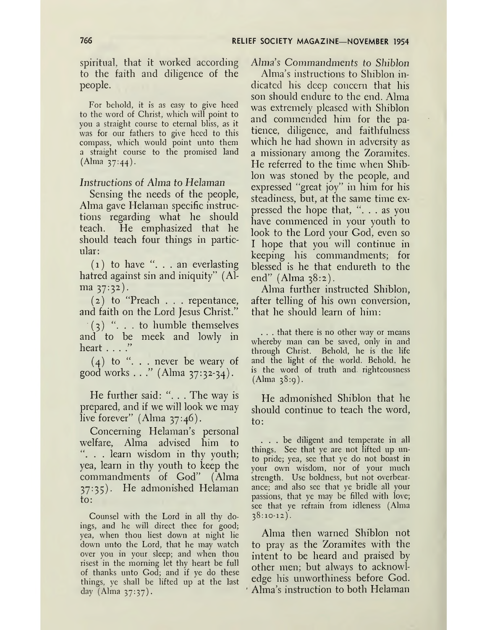spiritual, that it worked according to the faith and diligence of the people.

For behold, it is as easy to give heed to the word of Christ, which will point to you a straight course to eternal bliss, as it was for our fathers to give heed to this compass, which would point unto them a straight course to the promised land (Alma 37:44).

#### *Instructions of Alma to Helaman*

Sensing the needs of the people, Alma gave Helaman specific instructions regarding what he should teach. He emphasized that he should teach four things in particular:

 $(1)$  to have ". . . an everlasting hatred against sin and iniquity" (Alma 37:32).

(2) to "Preach . . . repentance, and faith on the Lord Jesus Christ."

 $(3)$  "... to humble themselves and to be meek and lowly in heart . . . ."

 $(4)$  to "... never be weary of good works . . ."  $(Alma 37:32-34)$ .

He further said: ". . . The way is prepared, and if we will look we may live forever" (Alma  $37:46$ ).

Concerning Helaman'<sup>s</sup> personal welfare, Alma advised him to . . learn wisdom in thy youth; yea, learn in thy youth to keep the commandments of God" (Alma 37:35). He admonished Helaman to:

Counsel with the Lord in all thy doings, and he will direct thee for good; yea, when thou liest down at night lie down unto the Lord, that he may watch over you in your sleep; and when thou risest in the morning let thy heart be full of thanks unto God; and if ye do these things, ye shall be lifted up at the last day (Alma 37:37).

#### Alma's Commandments to *Shiblon*

Alma's instructions to Shiblon indicated his deep concern that his son should endure to the end. Alma was extremely pleased with Shiblon and commended him for the patience, diligence, and faithfulness which he had shown in adversity as a missionary among the Zoramites. He referred to the time when Shiblon was stoned by the people, and expressed "great joy" in him for his steadiness, but, at the same time expressed the hope that, " $\ldots$  as you have commenced in your youth to look to the Lord your God, even so I hope that you will continue in keeping his commandments; for blessed is he that endureth to the end"  $(Alma 38:2)$ .

Alma further instructed Shiblon, after telling of his own conversion, that he should learn of him:

. . . that there is no other way or means whereby man can be saved, only in and through Christ. Behold, he is the life and the light of the world. Behold, he is the word of truth and. righteousness  $(Alma 38:q).$ 

He admonished Shiblon that he should continue to teach the word, to:

... be diligent and temperate in all things. See that ye are not lifted up unto pride; yea, see that ye do not boast in your own wisdom, nor of your much strength. Use boldness, but not overbearance; and also see that ye bridle all your passions, that ye may be filled with love; see that ye refrain from idleness (Alma  $38:10-12$ .

Alma then warned Shiblon not to pray as the Zoramites with the intent to be heard and praised by other men; but always to acknowledge his unworthiness before God. Alma's instruction to both Helaman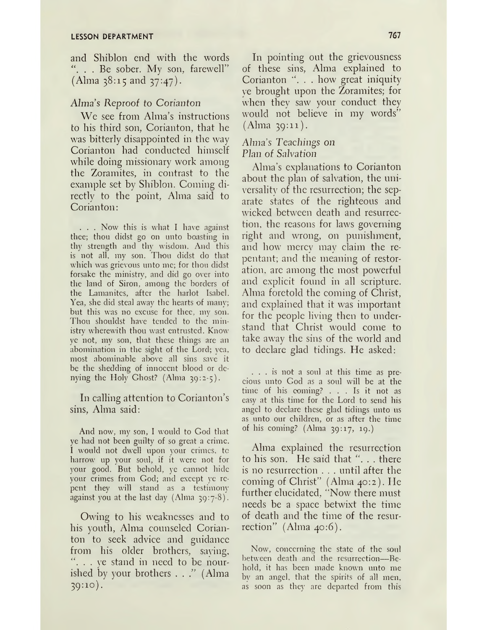and Shiblon end with the words "... Be sober. My son, farewell" (Alma 38:15 and 37:47).

## *Almas Reproof to Corianton*

We see from Alma'<sup>s</sup> instructions to his third son, Corianton, that he was bitterly disappointed in the way Corianton had conducted himself while doing missionary work among the Zoramites, in contrast to the example set by Shiblon. Coming directly to the point, Alma said to Corianton:

. . . Now this is what I have against thee; thou didst go on unto boasting in thy strength and thy wisdom. And this is not all, my son. Thou didst do that which was grievous unto me; for thou didst forsake the ministry, and did go over into the land of Siron, among the borders of the Lamanites, after the harlot Isabel. Yea, she did steal away the hearts of many; but this was no excuse for thee, my son. Thou shouldst have tended to the ministry wherewith thou wast entrusted. Know ye not, my son, that these things are an abomination in the sight of the Lord; vea, most abominable above all sins save it be the shedding of innocent blood or denying the Holy Ghost? (Alma 39:2-5).

In calling attention to Corianton'<sup>s</sup> sins, Alma said:

And now, my son, <sup>I</sup> would to God that ye had not been guilty of so great a crime. I would not dwell upon your crimes, to harrow up your soul, if it were not for your good. But behold, ye cannot hide your crimes from God; and except ye repent they will stand as a testimony against you at the last day (Alma  $39:7-8$ ).

Owing to his weaknesses and to his youth, Alma counseled Corianton to seek advice and guidance from his older brothers, saving, *. . ye* stand in need to be nourished by your brothers  $\ldots$ ." (Alma 39:10).

In pointing out the grievousness of these sins, Alma explained to Corianton ". . . how great iniquity ye brought upon the Zoramites; for when they saw your conduct they would not believe in my words" (Alma 39:11).

## *Almas Teachings on Plan of Salvation*

Alma'<sup>s</sup> explanations to Corianton about the plan of salvation, the universality of the resurrection; the separate states of the righteous and wicked between death and resurrection, the reasons for laws governing right and wrong, on punishment, and how merey may claim the repentant; and the meaning of restoration, are among the most powerful and explicit found in all scripture. Alma foretold the coming of Christ, and explained that it was important for the people living then to understand that Christ would come to take away the sins of the world and to declare glad tidings. He asked:

. . . is not a soul at this time as precious unto God as a soul will be at the time of his coming? ... Is it not as time of his coming? . . . Is it not as<br>easy at this time for the Lord to send his angel to declare these glad tidings unto us as unto our children, or as after the time of his coming? (Alma 39:17, 19.)

Alma explained the resurrection to his son. He said that "... there is no resurrection . . . until after the coming of Christ" (Alma 40:2). He further elucidated, "Now there must needs be a space betwixt the time of death and the time of the resurrection" (Alma 40:6).

Now, concerning the state of the soul between death and the resurrection—Behold, it has been made known unto me by an angel, that the spirits of all men, as soon as they are departed from this